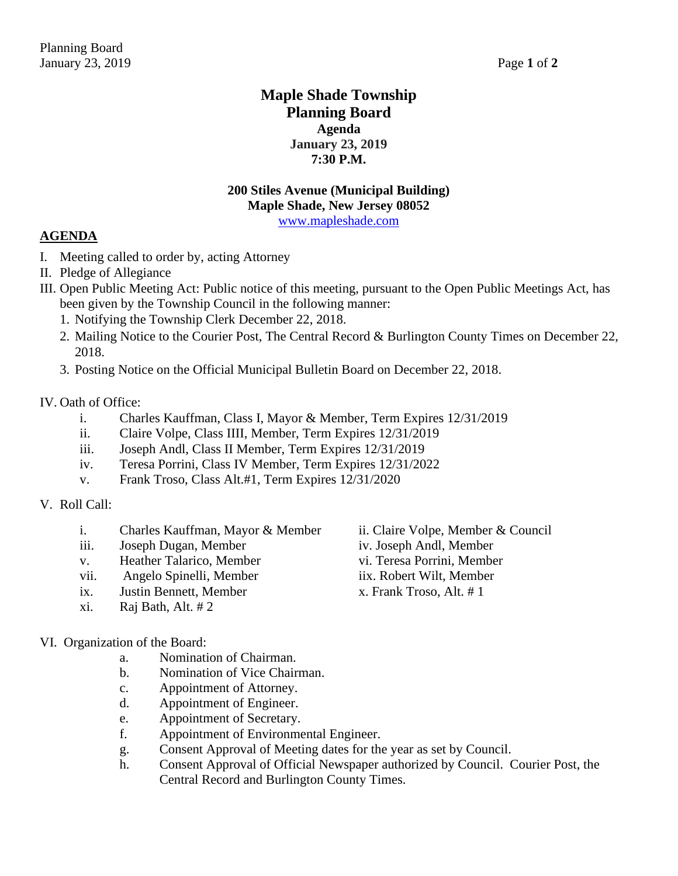## **Maple Shade Township Planning Board Agenda January 23, 2019 7:30 P.M.**

# **200 Stiles Avenue (Municipal Building) Maple Shade, New Jersey 08052**

[www.mapleshade.com](http://www.mapleshade.com/)

## **AGENDA**

- I. Meeting called to order by, acting Attorney
- II. Pledge of Allegiance
- III. Open Public Meeting Act: Public notice of this meeting, pursuant to the Open Public Meetings Act, has been given by the Township Council in the following manner:
	- 1. Notifying the Township Clerk December 22, 2018.
	- 2. Mailing Notice to the Courier Post, The Central Record & Burlington County Times on December 22, 2018.
	- 3. Posting Notice on the Official Municipal Bulletin Board on December 22, 2018.

### IV. Oath of Office:

- i. Charles Kauffman, Class I, Mayor & Member, Term Expires 12/31/2019
- ii. Claire Volpe, Class IIII, Member, Term Expires 12/31/2019
- iii. Joseph Andl, Class II Member, Term Expires 12/31/2019
- iv. Teresa Porrini, Class IV Member, Term Expires 12/31/2022
- v. Frank Troso, Class Alt.#1, Term Expires 12/31/2020

### V. Roll Call:

- i. Charles Kauffman, Mayor & Member ii. Claire Volpe, Member & Council
- iii. Joseph Dugan, Member iv. Joseph Andl, Member
- v. Heather Talarico, Member vi. Teresa Porrini, Member
- vii. Angelo Spinelli, Member iix. Robert Wilt, Member
- ix. Justin Bennett, Member x. Frank Troso, Alt. # 1
- xi. Raj Bath, Alt. # 2

### VI. Organization of the Board:

- a. Nomination of Chairman.
- b. Nomination of Vice Chairman.
- c. Appointment of Attorney.
- d. Appointment of Engineer.
- e. Appointment of Secretary.
- f. Appointment of Environmental Engineer.
- g. Consent Approval of Meeting dates for the year as set by Council.
- h. Consent Approval of Official Newspaper authorized by Council. Courier Post, the Central Record and Burlington County Times.
- 
- 
- 
- 
-